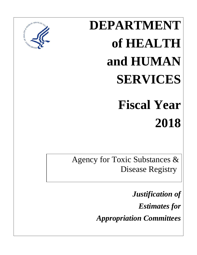# **DEPARTMENT of HEALTH and HUMAN SERVICES Fiscal Year**



Agency for Toxic Substances & Disease Registry

> *Justification of Estimates for Appropriation Committees*

**2018**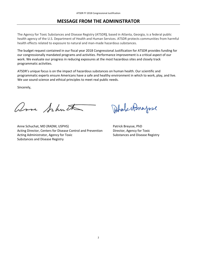## **MESSAGE FROM THE ADMINISTRATOR**

<span id="page-1-0"></span>The Agency for Toxic Substances and Disease Registry (ATSDR**)**, based in Atlanta, Georgia, is a federal public health agency of the U.S. Department of Health and Human Services. ATSDR protects communities from harmful health effects related to exposure to natural and man-made hazardous substances.

programmatic activities. The budget request contained in our fiscal year 2018 Congressional Justification for ATSDR provides funding for our congressionally mandated programs and activities. Performance improvement is a critical aspect of our work. We evaluate our progress in reducing exposures at the most hazardous sites and closely track

 We use sound science and ethical principles to meet real public needs. ATSDR's unique focus is on the impact of hazardous substances on human health. Our scientific and programmatic experts ensure Americans have a safe and healthy environment in which to work, play, and live.

Sincerely,

Arne Schuchat, MD (RADM, USPHS)

Acting Director, Centers for Disease Control and Prevention Acting Administrator, Agency for Toxic Substances and Disease Registry

Pahole Managase

Patrick Breysse, PhD Director, Agency for Toxic Substances and Disease Registry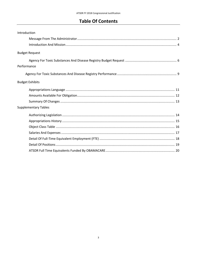## **Table Of Contents**

| Introduction                |  |
|-----------------------------|--|
|                             |  |
|                             |  |
| <b>Budget Request</b>       |  |
|                             |  |
| Performance                 |  |
|                             |  |
| <b>Budget Exhibits</b>      |  |
|                             |  |
|                             |  |
|                             |  |
| <b>Supplementary Tables</b> |  |
|                             |  |
|                             |  |
|                             |  |
|                             |  |
|                             |  |
|                             |  |
|                             |  |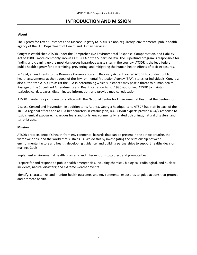## **INTRODUCTION AND MISSION**

#### <span id="page-3-0"></span>**About**

The Agency for Toxic Substances and Disease Registry (ATSDR) is a non-regulatory, environmental public health agency of the U.S. Department of Health and Human Services.

 Act of 1980—more commonly known as CERCLA or the Superfund law. The Superfund program is responsible for Congress established ATSDR under the Comprehensive Environmental Response, Compensation, and Liability finding and cleaning up the most dangerous hazardous waste sites in the country. ATSDR is the lead federal public health agency for determining, preventing, and mitigating the human health effects of toxic exposures.

 health assessments at the request of the Environmental Protection Agency (EPA), states, or individuals. Congress also authorized ATSDR to assist the EPA in determining which substances may pose a threat to human health. In 1984, amendments to the Resource Conservation and Recovery Act authorized ATSDR to conduct public Passage of the Superfund Amendments and Reauthorization Act of 1986 authorized ATSDR to maintain toxicological databases, disseminated information, and provide medical education.

ATSDR maintains a joint director's office with the National Center for Environmental Health at the Centers for

 Disease Control and Prevention. In addition to its Atlanta, Georgia headquarters, ATSDR has staff in each of the 10 EPA regional offices and at EPA headquarters in Washington, D.C. ATSDR experts provide a 24/7 response to toxic chemical exposure, hazardous leaks and spills, environmentally related poisonings, natural disasters, and terrorist acts.

#### **Mission**

 ATSDR protects people's health from environmental hazards that can be present in the air we breathe, the water we drink, and the world that sustains us. We do this by investigating the relationship between environmental factors and health, developing guidance, and building partnerships to support healthy decision making. Goals

Implement environmental health programs and interventions to protect and promote health.

Prepare for and respond to public health emergencies, including chemical, biological, radiological, and nuclear incidents; natural disasters; and extreme weather events.

 Identify, characterize, and monitor health outcomes and environmental exposures to guide actions that protect and promote health.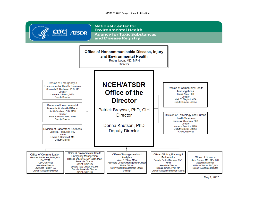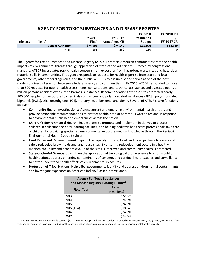<span id="page-5-0"></span>

|                       |                         |                |                      | <b>FY 2018</b> | <b>FY 2018 PB</b> |
|-----------------------|-------------------------|----------------|----------------------|----------------|-------------------|
|                       |                         | <b>FY 2016</b> | <b>FY 2017</b>       | President's    | $+/-$             |
| (dollars in millions) |                         | Final          | <b>Annualized CR</b> | <b>Budget</b>  | <b>FY 2017 CR</b> |
|                       | <b>Budget Authority</b> | \$74.691       | \$74.549             | \$62,000       | $-512.549$        |
|                       | <b>FTEs</b>             | 256            | 260                  | 260            | 0                 |

## **AGENCY FOR TOXIC SUBSTANCES AND DISEASE REGISTRY**

 The Agency for Toxic Substances and Disease Registry (ATSDR) protects American communities from the health mandate, ATSDR investigates public health concerns from exposures from hazardous waste sites and hazardous impacts of environmental threats through application of state-of-the-art science. Directed by congressional material spills in communities. The agency responds to requests for health expertise from state and local governments, other federal agencies, and the public. ATSDR's role is unique and serves as one of the best models of direct interaction between a federal agency and communities. In FY 2016, ATSDR responded to more than 520 requests for public health assessments, consultations, and technical assistance, and assessed nearly 1 million persons at risk of exposure to harmful substances. Recommendations at these sites protected nearly 100,000 people from exposure to chemicals such as per- and polyfluoroalkyl substances (PFAS), polychlorinated biphenyls (PCBs), trichloroethylene (TCE), mercury, lead, benzene, and dioxin. Several of ATSDR's core functions include:

- $\bullet$ • **Community Health Investigations:** Assess current and emerging environmental health threats and provide actionable recommendations to protect health, both at hazardous waste sites and in response to environmental public health emergencies across the nation.
- • **Children's Environmental Health:** Enable states to promote and implement initiatives to protect children in childcare and early learning facilities, and helping pediatric healthcare professionals take care of children by providing specialized environmental exposure medical knowledge through the Pediatric Environmental Health Specialty Units.
- safely redevelop brownfields and land reuse sites. By ensuring redevelopment occurs in a healthy manner, the utility and economic value of the sites is improved and community health is protected. • **Land Reuse and Redevelopment**: Expand the capacity of state, local, and tribal partners to assess and
- health actions, address emerging contaminants of concern, and conduct health studies and surveillance  $\bullet$ • **State-of-the-Art Science:** Strengthen the application of toxicological profile science to inform public to better understand health effects of environmental exposures.
- and investigate exposures on American Indian/Alaskan Native lands. • **Protection of Tribal Nations:** Help tribal governments identify and address environmental contaminants

| <b>Agency For Toxic Substances</b><br>and Disease Registry Funding History <sup>1</sup> |               |  |  |  |
|-----------------------------------------------------------------------------------------|---------------|--|--|--|
| <b>Dollars</b>                                                                          |               |  |  |  |
| <b>Fiscal Year</b>                                                                      | (in millions) |  |  |  |
| 2013                                                                                    | \$72.228      |  |  |  |
| 2014                                                                                    | \$74.691      |  |  |  |
| 2015                                                                                    | \$74.691      |  |  |  |
| 2015 (ACA)                                                                              | \$18.540      |  |  |  |
| 2016                                                                                    | \$74.691      |  |  |  |
| 2017                                                                                    | \$74.549      |  |  |  |

 2017 \$74.549 1 The Patient Protection and Affordable Care Act (P.L. 111-148) appropriated \$23,000,000 for the period of FY 2010-FY 2014, and \$20,000,000 for each five-year period thereafter, in no-year funding for the early detection of certain medical conditions related to environmental health hazards.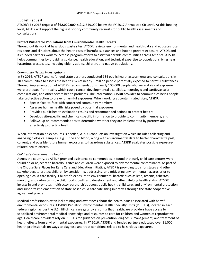#### Budget Request

ATSDR's FY 2018 request of **\$62,000,000** is \$12,549,000 below the FY 2017 Annualized CR Level. At this funding level, ATSDR will support the highest priority community requests for public health assessments and consultations.

#### **Protect Vulnerable Populations from Environmental Health Threats**

 Throughout its work at hazardous waste sites, ATSDR reviews environmental and health data and educates local its funded partners work to increase program efforts to assist vulnerable communities across America. ATSDR helps communities by providing guidance, health education, and technical expertise to populations living near residents and clinicians about the health risks of harmful substances and how to prevent exposure. ATSDR and hazardous waste sites, including elderly adults, children, and native populations.

#### *Community Health Investigations*

 In FY 2016, ATSDR and its funded state partners conducted 134 public health assessments and consultations in 109 communities to assess the health risks of nearly 1 million people potentially exposed to harmful substances. take protective action to prevent harmful exposures. When working at contaminated sites, ATSDR: Through implementation of ATSDR's recommendations, nearly 100,000 people who were at risk of exposure were protected from toxins which cause cancer, developmental disabilities, neurologic and cardiovascular complications, and other severe health problems. The information ATSDR provides to communities helps people

- •Speaks face-to-face with concerned community members;
- •Assesses human health risks posed by potential exposures;
- •Provides public health evaluation results and recommended actions to protect health;
- $\bullet$ •Develops site-specific and chemical-specific information to provide to community members; and
- Follows up on recommendations to determine whether they are implemented by partners and effectively protecting health.

 analyzing biological samples (e.g., urine and blood) along with environmental data to better characterize past, When information on exposures is needed, ATSDR conducts an investigation which includes collecting and current, and possible future human exposures to hazardous substances. ATSDR evaluates possible exposurerelated health effects.

#### *Children's Environmental Health*

 Across the country, as ATSDR provided assistance to communities, it found that early child care centers were found on or adjacent to hazardous sites and children were exposed to environmental contaminants. As part of the Choose Safe Places for Early Care and Education initiative, ATSDR is providing tools for states and other stakeholders to protect children by considering, addressing, and mitigating environmental hazards prior to opening a child care facility. Children's exposure to environmental hazards such as lead, arsenic, asbestos, mercury, and radon can slow childhood growth and development and affect lifelong health status. ATSDR invests in and promotes multisector partnerships across public health, child care, and environmental protection, and supports implementation of state-based child care safe siting initiatives through the state cooperative agreement program.

 Medical professionals often lack training and awareness about the health issues associated with harmful environmental exposures. ATSDR's Pediatric Environmental Health Specialty Units (PEHSUs), located in each health professionals on ways to diagnose and treat conditions related to hazardous exposures.<br>7 federal region across the U.S., fill clinical care gaps by ensuring that healthcare providers have access to specialized environmental medical knowledge and resources to care for children and women of reproductive age. Healthcare providers rely on PEHSUs for guidance on prevention, diagnosis, management, and treatment of health effects from environmental exposures. In FY 2016, ATSDR and funded partners educated over 31,000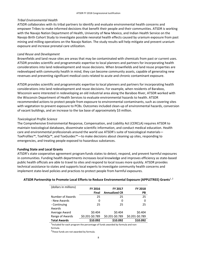#### *Tribal Environmental Health*

 ATSDR collaborates with its tribal partners to identify and evaluate environmental health concerns and empower Tribes to make informed decisions that benefit their people and their communities. ATSDR is working with the Navajo Nation Department of Health, University of New Mexico, and Indian Health Service on the Navajo Birth Cohort Study to investigate possible neonatal health effects caused by uranium exposure from past mining and milling operations on the Navajo Nation. The study results will help mitigate and prevent uranium exposure and increase prenatal care utilization.

#### *Land Reuse and Development*

 redeveloped with community health in mind, they can become community assets, capable of generating new revenues and preventing significant medical costs related to acute and chronic contaminant exposure. Brownfields and land reuse sites are areas that may be contaminated with chemicals from past or current uses. ATSDR provides scientific and programmatic expertise to local planners and partners for incorporating health considerations into land redevelopment and reuse decisions. When brownfields and land reuse properties are

 the Wisconsin Department of Health Services to evaluate environmental hazards to health. ATSDR ATSDR provides scientific and programmatic expertise to local planners and partners for incorporating health considerations into land redevelopment and reuse decisions. For example, when residents of Baraboo, Wisconsin were interested in redeveloping an old industrial area along the Baraboo River, ATSDR worked with recommended actions to protect people from exposure to environmental contaminants, such as covering sites with vegetation to prevent exposure to PCBs. Outcomes included clean-up of environmental hazards, conversion of vacant buildings, and an increase to the tax base of approximately \$3 million.

#### *Toxicological Profile Science*

 emergencies, and treating people exposed to hazardous substances. The Comprehensive Environmental Response, Compensation, and Liability Act (CERCLA) requires ATSDR to maintain toxicological databases, disseminate scientific information, and conduct medical education. Health care and environmental professionals around the world use ATSDR's suite of toxicological materials— ToxProfiles™, ToxFAQs™, and ToxGuides™—to make decisions about cleaning up sites, responding to

#### **Funding State and Local Grants**

 implement state-level policies and practices to protect people from harmful exposures. ATSDR's state cooperative agreement program funds states to detect, respond, and prevent harmful exposures in communities. Funding health departments increases local knowledge and improves efficiency as state-based public health officials are able to travel to sites and respond to local issues more quickly. ATSDR provides technical assistance to states and supports local experts to investigate community health concerns and

| (dollars in millions)  | <b>FY 2016</b>  | <b>FY 2017</b>       | <b>FY 2018</b>  |
|------------------------|-----------------|----------------------|-----------------|
|                        | Final           | <b>Annualized CR</b> | <b>PB</b>       |
| Number of Awards       | 25              | 25                   | 25              |
| - New Awards           | 0               | 0                    | 0               |
| - Continuing<br>Awards | 25              | 25                   | 25              |
| Average Award          | \$0.404         | \$0.404              | \$0.404         |
| Range of Awards        | \$0.201-\$0.789 | \$0.201-\$0.789      | \$0.201-\$0.789 |
| <b>Total Awards</b>    | \$10.092        | \$10.092             | \$10.092        |

#### **ATSDR Partnership to Promote Local Efforts to Reduce Environmental Exposure (APPLETREE) Grants**1, 2

 $<sup>1</sup>$ Included for each program the percentage of funds awarded by formula and non-</sup>

formula.

formula.<br><sup>2</sup>These funds are not awarded by formula. These funds are not awarded by formula.<br>8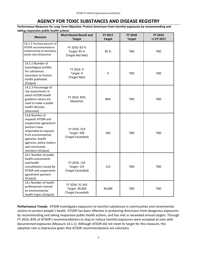## **AGENCY FOR TOXIC SUBSTANCES AND DISEASE REGISTRY**

<span id="page-8-0"></span>**Performance Measures for Long Term Objective: Protect Americans from harmful exposures by recommending and** 

| taking responsive public health actions                                                                                                                                                                           |                                                        |                          |                                 |                                 |
|-------------------------------------------------------------------------------------------------------------------------------------------------------------------------------------------------------------------|--------------------------------------------------------|--------------------------|---------------------------------|---------------------------------|
| <b>Measure</b>                                                                                                                                                                                                    | <b>Most Recent Result and</b><br><b>Target</b>         | FY 2017<br><b>Target</b> | <b>FY 2018</b><br><b>Target</b> | <b>FY 2018</b><br>$+/-$ FY 2017 |
| 14.1.1 Increase percent of<br><b>ATSDR</b> recommendations<br>implemented at hazardous<br>waste sites (Outcome)                                                                                                   | FY 2016: 83 %<br>Target: 85 %<br>(Target Not Met)      | 85 %                     | <b>TBD</b>                      | <b>TBD</b>                      |
| 14.2.1 Number of<br>toxicological profiles<br>for substances<br>hazardous to human<br>health published.<br>(Output)                                                                                               | FY 2016: 9<br>Target: 9<br>(Target Met)                | 9                        | TBD                             | TBD                             |
| 14.2.3 Percentage of<br>site assessments in<br>which ATSDR health<br>guidance values are<br>used to make a public<br>health decision<br>(Outcome)                                                                 | FY 2016: 83%<br>(Baseline)                             | 80%                      | TBD                             | TBD                             |
| 14.B Number of<br>requests ATSDR and<br>cooperative agreement<br>partners have<br>responded to requests<br>from environmental<br>agencies, health<br>agencies, policy makers<br>and community<br>members (Output) | FY 2016: 524<br>Target: 500<br>(Target Exceeded)       | 500                      | TBD                             | TBD                             |
| 14.C Number of public<br>health assessments<br>and health<br>consultations issued by<br>ATSDR and cooperative<br>agreement partners<br>(Output)                                                                   | FY 2016: 134<br>Target: 125<br>(Target Exceeded)       | 125                      | <b>TBD</b>                      | <b>TBD</b>                      |
| 14.L Number of health<br>professionals trained<br>on environmental<br>health topics (Output)                                                                                                                      | FY 2016: 31,343<br>Target: 30,000<br>(Target Exceeded) | 36,000                   | <b>TBD</b>                      | <b>TBD</b>                      |

 **Performance Trends:** ATSDR investigates exposures to harmful substances in communities and recommends FY 2016, 83% of ATSDR's recommendations to stop or reduce harmful exposures were accepted at sites with documented exposures (Measure 14.1.1). Although ATSDR did not meet its target for this measure, this adoption rate is impressive given that ATSDR recommendations are voluntary. actions to protect people's health. ATSDR has been effective in protecting Americans from dangerous exposures by recommending and taking responsive public health actions, and has met or exceeded annual targets. Through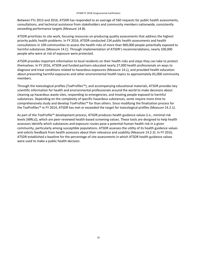Between FYs 2013 and 2016, ATSDR has responded to an average of 560 requests for public health assessments, consultations, and technical assistance from stakeholders and community members nationwide, consistently exceeding performance targets (Measure 14.B).

ATSDR prioritizes its site work, focusing resources on producing quality assessments that address the highest priority public health problems. In FY 2016, ATSDR conducted 134 public health assessments and health consultations in 109 communities to assess the health risks of more than 900,000 people potentially exposed to harmful substances (Measure 14.C). Through implementation of ATSDR's recommendations, nearly 100,000 people who were at risk of exposure were protected.

 ATSDR provides important information to local residents on their health risks and steps they can take to protect themselves. In FY 2016, ATSDR and funded partners educated nearly 27,000 health professionals on ways to about preventing harmful exposures and other environmental health topics to approximately 65,000 community diagnose and treat conditions related to hazardous exposures (Measure 14.L), and provided health education members.

 comprehensively study and develop ToxProfiles™ for than others. Since modifying the finalization process for Through the toxicological profiles (ToxProfiles™), and accompanying educational materials, ATSDR provides key scientific information for health and environmental professionals around the world to make decisions about cleaning up hazardous waste sites, responding to emergencies, and treating people exposed to harmful substances. Depending on the complexity of specific hazardous substances, some require more time to the ToxProfiles™ in FY 2014, ATSDR has met or exceeded the target for toxicological profiles (Measure 14.2.1).

 ATSDR established a baseline for the percentage of site assessments in which ATSDR health guidance values As part of the ToxProfile™ development process, ATSDR produces health guidance values (i.e., minimal risk levels [MRLs]), which are peer-reviewed health-based screening values. These tools are designed to help health assessors identify which substances and exposure routes pose a potential human health risk in a given community, particularly among susceptible populations. ATSDR assesses the utility of its health guidance values and solicits feedback from health assessors about their relevance and usability (Measure 14.2.3). In FY 2016, were used to make a public health decision.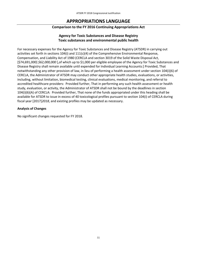## **APPROPRIATIONS LANGUAGE**

#### **Comparison to the FY 2016 Continuing Appropriations Act**

### **Agency for Toxic Substances and Disease Registry Toxic substances and environmental public health**

<span id="page-10-0"></span> For necessary expenses for the Agency for Toxic Substances and Disease Registry (ATSDR) in carrying out Compensation, and Liability Act of 1980 (CERCLA and section 3019 of the Solid Waste Disposal Act, accredited healthcare providers: Provided further, That in performing any such health assessment or health study, evaluation, or activity, the Administrator of ATSDR shall not be bound by the deadlines in section 104(i)(6)(A) of CERCLA: Provided further, That none of the funds appropriated under this heading shall be available for ATSDR to issue in excess of 40 toxicological profiles pursuant to section 104(i) of CERCLA during activities set forth in sections 104(i) and 111(c)(4) of the Comprehensive Environmental Response, [\$74,691,000] *\$62,000,000* [,of which up to \$1,000 per eligible employee of the Agency for Toxic Substances and Disease Registry shall remain available until expended for Individual Learning Accounts:] Provided, That notwithstanding any other provision of law, in lieu of performing a health assessment under section 104(i)(6) of CERCLA, the Administrator of ATSDR may conduct other appropriate health studies, evaluations, or activities, including, without limitation, biomedical testing, clinical evaluations, medical monitoring, and referral to fiscal year [2017]*2018*, and existing profiles may be updated as necessary.

#### **Analysis of Changes**

No significant changes requested for FY 2018.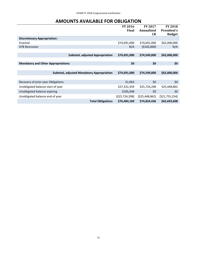## **AMOUNTS AVAILABLE FOR OBLIGATION**

<span id="page-11-0"></span>

|                                            |                                                   | <b>FY 2016</b><br>Final | <b>FY 2017</b><br>Annualized<br><b>CR</b> | <b>FY 2018</b><br>President's<br><b>Budget</b> |
|--------------------------------------------|---------------------------------------------------|-------------------------|-------------------------------------------|------------------------------------------------|
| <b>Discretionary Appropriation:</b>        |                                                   |                         |                                           |                                                |
| Enacted                                    |                                                   | \$74,691,000            | \$74,691,000                              | \$62,000,000                                   |
| <b>ATB Rescission</b>                      |                                                   | N/A                     | (\$142,000)                               | N/A                                            |
|                                            |                                                   |                         |                                           |                                                |
|                                            | <b>Subtotal, adjusted Appropriation</b>           | \$74,691,000            | \$74,549,000                              | \$62,000,000                                   |
|                                            |                                                   |                         |                                           |                                                |
| <b>Mandatory and Other Appropriations:</b> |                                                   | \$0                     | \$0                                       | \$0                                            |
|                                            |                                                   |                         |                                           |                                                |
|                                            | <b>Subtotal, adjusted Mandatory Appropriation</b> | \$74,691,000            | \$74,549,000                              | \$62,000,000                                   |
|                                            |                                                   |                         |                                           |                                                |
| Recovery of prior year Obligations         |                                                   | \$1,063                 | \$0                                       | \$0                                            |
| Unobligated balance start of year          |                                                   | \$27,331,359            | \$25,724,298                              | \$25,448,862                                   |
| Unobligated balance expiring               |                                                   | \$185,048               | \$0                                       | \$0                                            |
| Unobligated balance end of year            |                                                   | (525, 724, 298)         | ( \$25,448,862)                           | ( \$21,755,254)                                |
|                                            | <b>Total Obligations</b>                          | \$76,484,169            | \$74,824,436                              | \$65,693,608                                   |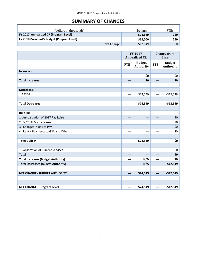## **SUMMARY OF CHANGES**

<span id="page-12-0"></span>

| (dollars in thousands)                     | <b>Dollars</b> | <b>FTEs</b> |
|--------------------------------------------|----------------|-------------|
| FY 2017 Annualized CR (Program Level)      | \$74,549       | 260         |
| FY 2018 President's Budget (Program Level) | \$62,000       | 260         |
| Net Change                                 | $-512,549$     |             |

|                                           |                 | FY 2017<br><b>Annualized CR</b> | <b>Change from</b><br><b>Base</b> |                            |
|-------------------------------------------|-----------------|---------------------------------|-----------------------------------|----------------------------|
|                                           | <b>FTE</b>      | <b>Budget</b><br>Authority      | <b>FTE</b>                        | <b>Budget</b><br>Authority |
| Increases:                                |                 |                                 |                                   |                            |
|                                           |                 | \$0                             | $---$                             | \$0                        |
| <b>Total Increases</b>                    | ---             | \$0                             | $---$                             | \$0                        |
|                                           |                 |                                 |                                   |                            |
| <b>Decreases:</b>                         |                 |                                 |                                   |                            |
| <b>ATSDR</b>                              | $---$           | \$74,549                        | $---$                             | $-$12,549$                 |
|                                           |                 |                                 |                                   |                            |
| <b>Total Decreases</b>                    |                 | \$74,549                        |                                   | $-$12,549$                 |
|                                           |                 |                                 |                                   |                            |
| <b>Built-In:</b>                          |                 |                                 |                                   |                            |
| 1. Annualization of 2017 Pay Raise        | $---$           | ---                             | ---                               | \$0                        |
| 2. FY 2018 Pay Increases                  |                 |                                 |                                   | \$0                        |
| 3. Changes in Day of Pay                  | ---             | $---$                           | ---                               | \$0                        |
| 4. Rental Payments to GSA and Others      | ---             | ---                             | $---$                             | \$0                        |
|                                           |                 |                                 |                                   |                            |
| <b>Total Built-In</b>                     | ---             | \$74,549                        | ---                               | \$0                        |
|                                           |                 |                                 |                                   |                            |
| 1. Absorption of Current Services         | ---             | $---$                           | $---$                             | \$0                        |
| <b>Total</b>                              |                 |                                 | ---                               | \$0                        |
| <b>Total Increases (Budget Authority)</b> | ---             | N/A                             | $---$                             | \$0                        |
| <b>Total Decreases (Budget Authority)</b> | ---             | N/A                             | ---                               | $-$12,549$                 |
|                                           |                 |                                 |                                   |                            |
| <b>NET CHANGE - BUDGET AUTHORITY</b>      | \$74,549<br>--- |                                 | ---                               | $-$12,549$                 |
|                                           |                 |                                 |                                   |                            |
|                                           |                 |                                 |                                   |                            |
| <b>NET CHANGE - Program Level</b>         | ---             | \$74,549                        | ---                               | $-$12,549$                 |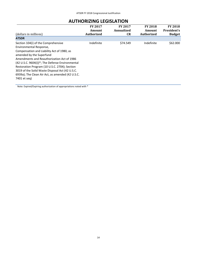## **AUTHORIZING LEGISLATION**

<span id="page-13-0"></span>

|                                                                                                                                                                                                                                                                                            | <b>FY 2017</b>    | <b>FY 2017</b> | <b>FY 2018</b>    | <b>FY 2018</b> |
|--------------------------------------------------------------------------------------------------------------------------------------------------------------------------------------------------------------------------------------------------------------------------------------------|-------------------|----------------|-------------------|----------------|
|                                                                                                                                                                                                                                                                                            | Amount            | Annualized     | Amount            | President's    |
| (dollars in millions)                                                                                                                                                                                                                                                                      | <b>Authorized</b> | <b>CR</b>      | <b>Authorized</b> | <b>Budget</b>  |
| <b>ATSDR</b>                                                                                                                                                                                                                                                                               |                   |                |                   |                |
| Section 104(i) of the Comprehensive<br>Environmental Response,<br>Compensation and Liability Act of 1980, as<br>amended by the Superfund<br>Amendments and Reauthorization Act of 1986<br>(42 U.S.C. 9604(i))*; The Defense Environmental<br>Restoration Program (10 U.S.C. 2704); Section | Indefinite        | \$74.549       | Indefinite        | \$62,000       |
| 3019 of the Solid Waste Disposal Act (42 U.S.C.<br>6939a); The Clean Air Act, as amended (42 U.S.C.<br>7401 et seg)                                                                                                                                                                        |                   |                |                   |                |

Note: Expired/Expiring authorization of appropriations noted with \*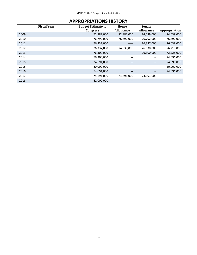## **APPROPRIATIONS HISTORY**

<span id="page-14-0"></span>

|      | <b>Fiscal Year</b> | <b>Budget Estimate to</b> | House                                 | <b>Senate</b>                         |               |
|------|--------------------|---------------------------|---------------------------------------|---------------------------------------|---------------|
|      |                    | <b>Congress</b>           | <b>Allowance</b>                      | <b>Allowance</b>                      | Appropriation |
| 2009 |                    | 72,882,000                | 72,882,000                            | 74,039,000                            | 74,039,000    |
| 2010 |                    | 76,792,000                | 76,792,000                            | 76,792,000                            | 76,792,000    |
| 2011 |                    | 76,337,000                | -----                                 | 76,337,000                            | 76,638,000    |
| 2012 |                    | 76,337,000                | 74,039,000                            | 76,638,000                            | 76,215,000    |
| 2013 |                    | 76,300,000                |                                       | 76,300,000                            | 72,228,000    |
| 2014 |                    | 76,300,000                | $\hspace{0.05cm}$ – $\hspace{0.05cm}$ | $\overline{\phantom{m}}$              | 74,691,000    |
| 2015 |                    | 74,691,000                | $\qquad \qquad -$                     | $\overline{\phantom{a}}$              | 74,691,000    |
| 2015 |                    | 20,000,000                |                                       |                                       | 20,000,000    |
| 2016 |                    | 74,691,000                | $\qquad \qquad -$                     | $\hspace{0.05cm}$ – $\hspace{0.05cm}$ | 74,691,000    |
| 2017 |                    | 74,691,000                | 74,691,000                            | 74,691,000                            |               |
| 2018 |                    | 62,000,000                | --                                    | --                                    |               |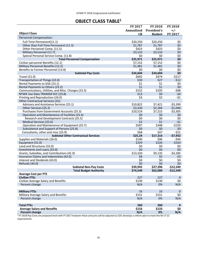## **OBJECT CLASS TABLE<sup>1</sup>**

<span id="page-15-0"></span>

| Annualized<br>President's<br>$+/-$<br><b>Object Class</b><br><b>FY 2017</b><br>CR<br><b>Budget</b><br>Personnel Compensation:<br>\$20,250<br>Full-Time Permanent(11.1)<br>\$20,250<br>\$0<br>Other than Full-Time Permanent (11.3)<br>\$1,787<br>\$0<br>\$1,787<br>\$423<br>\$0<br>Other Personnel Comp. (11.5)<br>\$423<br>\$0<br>\$3,510<br>\$3,510<br>Military Personnel (11.7)<br>\$0<br>Special Personal Service Comp. (11.8)<br>\$0<br>\$0<br>\$25,971<br>\$25,971<br>\$0<br><b>Total Personnel Compensation</b><br>\$0<br>Civilian personnel Benefits (12.1)<br>\$7,152<br>\$7,152<br>\$0<br>\$1,481<br>Military Personnel Benefits (12.2)<br>\$1,481<br>\$0<br>\$0<br>\$0<br>Benefits to Former Personnel (13.0)<br>\$0<br>\$34,604<br>\$34,604<br><b>Subtotal Pay Costs</b><br><b>Travel (21.0)</b><br>\$692<br>\$474<br>$-5217$<br>$-512$<br>Transportation of Things (22.0)<br>\$39<br>\$27<br>\$1<br>\$0<br>Rental Payments to GSA (23.1)<br>\$1<br>\$1<br>\$0<br>\$1<br>Rental Payments to Others (23.2)<br>\$152<br>\$105<br>$-548$<br>Communications, Utilities, and Misc. Charges (23.3)<br>\$13<br>\$9<br>$-54$<br>NTWK Use Data TRANSM SVC (23.8)<br>\$2<br>$-51$<br>\$3<br>Printing and Reproduction (24.0)<br>Other Contractual Services (25):<br>\$10,822<br>$-53,399$<br>Advisory and Assistance Services (25.1)<br>\$7,421<br>Other Services (25.2)<br>\$3,330<br>\$2,284<br>$-$1,046$<br>Purchases from Government Accounts (25.3)<br>\$10,519<br>\$7,215<br>$-53,305$<br>Operation and Maintenance of Facilities (25.4)<br>\$0<br>\$0<br>\$0<br>\$0<br>\$0<br>\$0<br>Research and Development Contracts (25.5)<br>\$2<br>\$1<br>$-51$<br>Medical Services (25.6)<br>$-5159$<br>Operation and Maintenance of Equipment (25.7)<br>\$507<br>\$348<br>Subsistence and Support of Persons (25.8)<br>\$0<br>\$0<br>\$0<br>\$68<br>$-521$<br>Consultants, other and misc (25.9)<br>\$47<br><b>Subtotal Other Contractual Services</b><br>\$25,24<br>$-57,932$<br>\$17,316<br>Supplies and Materials (26.0)<br>\$140<br>\$96<br>$-544$<br>\$329<br>\$226<br>Equipment (31.0)<br>$-5103$<br>Land and Structures (32.0)<br>\$0<br>\$0<br>\$0<br>\$0<br>\$0<br>Investments and Loans (33.0)<br>\$0<br>Grants, Subsidies, and Contributions (41.0)<br>\$13,320<br>\$9,135<br>$-54,185$<br>Insurance Claims and Indemnities (42.0)<br>\$8<br>\$5<br>$-53$<br>\$0<br>\$0<br>\$0<br>Interest and Dividends (43.0)<br>\$0<br>\$0<br>\$0<br>Refunds (44.0)<br>\$39,945<br>\$27,396<br>$-$12,549$<br><b>Subtotal Non-Pay Costs</b><br><b>Total Budget Authority</b><br>$-512,549$<br>\$62,000<br>\$74,549<br><b>Average Cost per FTE</b><br><b>Civilian FTEs</b><br>227<br>227<br>$\mathbf 0$<br>\$0<br>Civilian Average Salary and Benefits<br>\$130<br>\$130<br>Percent change<br>N/A<br>N/A<br>0%<br>33<br>33<br><b>Military FTEs</b><br>$\mathbf 0$<br>\$0<br>\$151<br>Military Average Salary and Benefits<br>\$151<br>Percent change<br>N/A<br>0%<br>N/A<br><b>Total FTEs</b><br>260<br>260<br>$\mathbf{0}$<br>\$0<br>\$133<br><b>Average Salary and Benefits</b><br>\$133<br>N/A<br>N/A<br><b>Percent change</b><br>0% | <b>FY 2017</b> | <b>FY 2018</b> | <b>FY 2018</b> |
|--------------------------------------------------------------------------------------------------------------------------------------------------------------------------------------------------------------------------------------------------------------------------------------------------------------------------------------------------------------------------------------------------------------------------------------------------------------------------------------------------------------------------------------------------------------------------------------------------------------------------------------------------------------------------------------------------------------------------------------------------------------------------------------------------------------------------------------------------------------------------------------------------------------------------------------------------------------------------------------------------------------------------------------------------------------------------------------------------------------------------------------------------------------------------------------------------------------------------------------------------------------------------------------------------------------------------------------------------------------------------------------------------------------------------------------------------------------------------------------------------------------------------------------------------------------------------------------------------------------------------------------------------------------------------------------------------------------------------------------------------------------------------------------------------------------------------------------------------------------------------------------------------------------------------------------------------------------------------------------------------------------------------------------------------------------------------------------------------------------------------------------------------------------------------------------------------------------------------------------------------------------------------------------------------------------------------------------------------------------------------------------------------------------------------------------------------------------------------------------------------------------------------------------------------------------------------------------------------------------------------------------------------------------------------------------------------------------------------------------------------------------------------------------------------------------------------------------------------------------------------------------------------------------------------------------------------------------------------------------------------------------------------------------------------------------------------------------------------------------------------------------|----------------|----------------|----------------|
|                                                                                                                                                                                                                                                                                                                                                                                                                                                                                                                                                                                                                                                                                                                                                                                                                                                                                                                                                                                                                                                                                                                                                                                                                                                                                                                                                                                                                                                                                                                                                                                                                                                                                                                                                                                                                                                                                                                                                                                                                                                                                                                                                                                                                                                                                                                                                                                                                                                                                                                                                                                                                                                                                                                                                                                                                                                                                                                                                                                                                                                                                                                                      |                |                |                |
|                                                                                                                                                                                                                                                                                                                                                                                                                                                                                                                                                                                                                                                                                                                                                                                                                                                                                                                                                                                                                                                                                                                                                                                                                                                                                                                                                                                                                                                                                                                                                                                                                                                                                                                                                                                                                                                                                                                                                                                                                                                                                                                                                                                                                                                                                                                                                                                                                                                                                                                                                                                                                                                                                                                                                                                                                                                                                                                                                                                                                                                                                                                                      |                |                |                |
|                                                                                                                                                                                                                                                                                                                                                                                                                                                                                                                                                                                                                                                                                                                                                                                                                                                                                                                                                                                                                                                                                                                                                                                                                                                                                                                                                                                                                                                                                                                                                                                                                                                                                                                                                                                                                                                                                                                                                                                                                                                                                                                                                                                                                                                                                                                                                                                                                                                                                                                                                                                                                                                                                                                                                                                                                                                                                                                                                                                                                                                                                                                                      |                |                |                |
|                                                                                                                                                                                                                                                                                                                                                                                                                                                                                                                                                                                                                                                                                                                                                                                                                                                                                                                                                                                                                                                                                                                                                                                                                                                                                                                                                                                                                                                                                                                                                                                                                                                                                                                                                                                                                                                                                                                                                                                                                                                                                                                                                                                                                                                                                                                                                                                                                                                                                                                                                                                                                                                                                                                                                                                                                                                                                                                                                                                                                                                                                                                                      |                |                |                |
|                                                                                                                                                                                                                                                                                                                                                                                                                                                                                                                                                                                                                                                                                                                                                                                                                                                                                                                                                                                                                                                                                                                                                                                                                                                                                                                                                                                                                                                                                                                                                                                                                                                                                                                                                                                                                                                                                                                                                                                                                                                                                                                                                                                                                                                                                                                                                                                                                                                                                                                                                                                                                                                                                                                                                                                                                                                                                                                                                                                                                                                                                                                                      |                |                |                |
|                                                                                                                                                                                                                                                                                                                                                                                                                                                                                                                                                                                                                                                                                                                                                                                                                                                                                                                                                                                                                                                                                                                                                                                                                                                                                                                                                                                                                                                                                                                                                                                                                                                                                                                                                                                                                                                                                                                                                                                                                                                                                                                                                                                                                                                                                                                                                                                                                                                                                                                                                                                                                                                                                                                                                                                                                                                                                                                                                                                                                                                                                                                                      |                |                |                |
|                                                                                                                                                                                                                                                                                                                                                                                                                                                                                                                                                                                                                                                                                                                                                                                                                                                                                                                                                                                                                                                                                                                                                                                                                                                                                                                                                                                                                                                                                                                                                                                                                                                                                                                                                                                                                                                                                                                                                                                                                                                                                                                                                                                                                                                                                                                                                                                                                                                                                                                                                                                                                                                                                                                                                                                                                                                                                                                                                                                                                                                                                                                                      |                |                |                |
|                                                                                                                                                                                                                                                                                                                                                                                                                                                                                                                                                                                                                                                                                                                                                                                                                                                                                                                                                                                                                                                                                                                                                                                                                                                                                                                                                                                                                                                                                                                                                                                                                                                                                                                                                                                                                                                                                                                                                                                                                                                                                                                                                                                                                                                                                                                                                                                                                                                                                                                                                                                                                                                                                                                                                                                                                                                                                                                                                                                                                                                                                                                                      |                |                |                |
|                                                                                                                                                                                                                                                                                                                                                                                                                                                                                                                                                                                                                                                                                                                                                                                                                                                                                                                                                                                                                                                                                                                                                                                                                                                                                                                                                                                                                                                                                                                                                                                                                                                                                                                                                                                                                                                                                                                                                                                                                                                                                                                                                                                                                                                                                                                                                                                                                                                                                                                                                                                                                                                                                                                                                                                                                                                                                                                                                                                                                                                                                                                                      |                |                |                |
|                                                                                                                                                                                                                                                                                                                                                                                                                                                                                                                                                                                                                                                                                                                                                                                                                                                                                                                                                                                                                                                                                                                                                                                                                                                                                                                                                                                                                                                                                                                                                                                                                                                                                                                                                                                                                                                                                                                                                                                                                                                                                                                                                                                                                                                                                                                                                                                                                                                                                                                                                                                                                                                                                                                                                                                                                                                                                                                                                                                                                                                                                                                                      |                |                |                |
|                                                                                                                                                                                                                                                                                                                                                                                                                                                                                                                                                                                                                                                                                                                                                                                                                                                                                                                                                                                                                                                                                                                                                                                                                                                                                                                                                                                                                                                                                                                                                                                                                                                                                                                                                                                                                                                                                                                                                                                                                                                                                                                                                                                                                                                                                                                                                                                                                                                                                                                                                                                                                                                                                                                                                                                                                                                                                                                                                                                                                                                                                                                                      |                |                |                |
|                                                                                                                                                                                                                                                                                                                                                                                                                                                                                                                                                                                                                                                                                                                                                                                                                                                                                                                                                                                                                                                                                                                                                                                                                                                                                                                                                                                                                                                                                                                                                                                                                                                                                                                                                                                                                                                                                                                                                                                                                                                                                                                                                                                                                                                                                                                                                                                                                                                                                                                                                                                                                                                                                                                                                                                                                                                                                                                                                                                                                                                                                                                                      |                |                |                |
|                                                                                                                                                                                                                                                                                                                                                                                                                                                                                                                                                                                                                                                                                                                                                                                                                                                                                                                                                                                                                                                                                                                                                                                                                                                                                                                                                                                                                                                                                                                                                                                                                                                                                                                                                                                                                                                                                                                                                                                                                                                                                                                                                                                                                                                                                                                                                                                                                                                                                                                                                                                                                                                                                                                                                                                                                                                                                                                                                                                                                                                                                                                                      |                |                |                |
|                                                                                                                                                                                                                                                                                                                                                                                                                                                                                                                                                                                                                                                                                                                                                                                                                                                                                                                                                                                                                                                                                                                                                                                                                                                                                                                                                                                                                                                                                                                                                                                                                                                                                                                                                                                                                                                                                                                                                                                                                                                                                                                                                                                                                                                                                                                                                                                                                                                                                                                                                                                                                                                                                                                                                                                                                                                                                                                                                                                                                                                                                                                                      |                |                |                |
|                                                                                                                                                                                                                                                                                                                                                                                                                                                                                                                                                                                                                                                                                                                                                                                                                                                                                                                                                                                                                                                                                                                                                                                                                                                                                                                                                                                                                                                                                                                                                                                                                                                                                                                                                                                                                                                                                                                                                                                                                                                                                                                                                                                                                                                                                                                                                                                                                                                                                                                                                                                                                                                                                                                                                                                                                                                                                                                                                                                                                                                                                                                                      |                |                |                |
|                                                                                                                                                                                                                                                                                                                                                                                                                                                                                                                                                                                                                                                                                                                                                                                                                                                                                                                                                                                                                                                                                                                                                                                                                                                                                                                                                                                                                                                                                                                                                                                                                                                                                                                                                                                                                                                                                                                                                                                                                                                                                                                                                                                                                                                                                                                                                                                                                                                                                                                                                                                                                                                                                                                                                                                                                                                                                                                                                                                                                                                                                                                                      |                |                |                |
|                                                                                                                                                                                                                                                                                                                                                                                                                                                                                                                                                                                                                                                                                                                                                                                                                                                                                                                                                                                                                                                                                                                                                                                                                                                                                                                                                                                                                                                                                                                                                                                                                                                                                                                                                                                                                                                                                                                                                                                                                                                                                                                                                                                                                                                                                                                                                                                                                                                                                                                                                                                                                                                                                                                                                                                                                                                                                                                                                                                                                                                                                                                                      |                |                |                |
|                                                                                                                                                                                                                                                                                                                                                                                                                                                                                                                                                                                                                                                                                                                                                                                                                                                                                                                                                                                                                                                                                                                                                                                                                                                                                                                                                                                                                                                                                                                                                                                                                                                                                                                                                                                                                                                                                                                                                                                                                                                                                                                                                                                                                                                                                                                                                                                                                                                                                                                                                                                                                                                                                                                                                                                                                                                                                                                                                                                                                                                                                                                                      |                |                |                |
|                                                                                                                                                                                                                                                                                                                                                                                                                                                                                                                                                                                                                                                                                                                                                                                                                                                                                                                                                                                                                                                                                                                                                                                                                                                                                                                                                                                                                                                                                                                                                                                                                                                                                                                                                                                                                                                                                                                                                                                                                                                                                                                                                                                                                                                                                                                                                                                                                                                                                                                                                                                                                                                                                                                                                                                                                                                                                                                                                                                                                                                                                                                                      |                |                |                |
|                                                                                                                                                                                                                                                                                                                                                                                                                                                                                                                                                                                                                                                                                                                                                                                                                                                                                                                                                                                                                                                                                                                                                                                                                                                                                                                                                                                                                                                                                                                                                                                                                                                                                                                                                                                                                                                                                                                                                                                                                                                                                                                                                                                                                                                                                                                                                                                                                                                                                                                                                                                                                                                                                                                                                                                                                                                                                                                                                                                                                                                                                                                                      |                |                |                |
|                                                                                                                                                                                                                                                                                                                                                                                                                                                                                                                                                                                                                                                                                                                                                                                                                                                                                                                                                                                                                                                                                                                                                                                                                                                                                                                                                                                                                                                                                                                                                                                                                                                                                                                                                                                                                                                                                                                                                                                                                                                                                                                                                                                                                                                                                                                                                                                                                                                                                                                                                                                                                                                                                                                                                                                                                                                                                                                                                                                                                                                                                                                                      |                |                |                |
|                                                                                                                                                                                                                                                                                                                                                                                                                                                                                                                                                                                                                                                                                                                                                                                                                                                                                                                                                                                                                                                                                                                                                                                                                                                                                                                                                                                                                                                                                                                                                                                                                                                                                                                                                                                                                                                                                                                                                                                                                                                                                                                                                                                                                                                                                                                                                                                                                                                                                                                                                                                                                                                                                                                                                                                                                                                                                                                                                                                                                                                                                                                                      |                |                |                |
|                                                                                                                                                                                                                                                                                                                                                                                                                                                                                                                                                                                                                                                                                                                                                                                                                                                                                                                                                                                                                                                                                                                                                                                                                                                                                                                                                                                                                                                                                                                                                                                                                                                                                                                                                                                                                                                                                                                                                                                                                                                                                                                                                                                                                                                                                                                                                                                                                                                                                                                                                                                                                                                                                                                                                                                                                                                                                                                                                                                                                                                                                                                                      |                |                |                |
|                                                                                                                                                                                                                                                                                                                                                                                                                                                                                                                                                                                                                                                                                                                                                                                                                                                                                                                                                                                                                                                                                                                                                                                                                                                                                                                                                                                                                                                                                                                                                                                                                                                                                                                                                                                                                                                                                                                                                                                                                                                                                                                                                                                                                                                                                                                                                                                                                                                                                                                                                                                                                                                                                                                                                                                                                                                                                                                                                                                                                                                                                                                                      |                |                |                |
|                                                                                                                                                                                                                                                                                                                                                                                                                                                                                                                                                                                                                                                                                                                                                                                                                                                                                                                                                                                                                                                                                                                                                                                                                                                                                                                                                                                                                                                                                                                                                                                                                                                                                                                                                                                                                                                                                                                                                                                                                                                                                                                                                                                                                                                                                                                                                                                                                                                                                                                                                                                                                                                                                                                                                                                                                                                                                                                                                                                                                                                                                                                                      |                |                |                |
|                                                                                                                                                                                                                                                                                                                                                                                                                                                                                                                                                                                                                                                                                                                                                                                                                                                                                                                                                                                                                                                                                                                                                                                                                                                                                                                                                                                                                                                                                                                                                                                                                                                                                                                                                                                                                                                                                                                                                                                                                                                                                                                                                                                                                                                                                                                                                                                                                                                                                                                                                                                                                                                                                                                                                                                                                                                                                                                                                                                                                                                                                                                                      |                |                |                |
|                                                                                                                                                                                                                                                                                                                                                                                                                                                                                                                                                                                                                                                                                                                                                                                                                                                                                                                                                                                                                                                                                                                                                                                                                                                                                                                                                                                                                                                                                                                                                                                                                                                                                                                                                                                                                                                                                                                                                                                                                                                                                                                                                                                                                                                                                                                                                                                                                                                                                                                                                                                                                                                                                                                                                                                                                                                                                                                                                                                                                                                                                                                                      |                |                |                |
|                                                                                                                                                                                                                                                                                                                                                                                                                                                                                                                                                                                                                                                                                                                                                                                                                                                                                                                                                                                                                                                                                                                                                                                                                                                                                                                                                                                                                                                                                                                                                                                                                                                                                                                                                                                                                                                                                                                                                                                                                                                                                                                                                                                                                                                                                                                                                                                                                                                                                                                                                                                                                                                                                                                                                                                                                                                                                                                                                                                                                                                                                                                                      |                |                |                |
|                                                                                                                                                                                                                                                                                                                                                                                                                                                                                                                                                                                                                                                                                                                                                                                                                                                                                                                                                                                                                                                                                                                                                                                                                                                                                                                                                                                                                                                                                                                                                                                                                                                                                                                                                                                                                                                                                                                                                                                                                                                                                                                                                                                                                                                                                                                                                                                                                                                                                                                                                                                                                                                                                                                                                                                                                                                                                                                                                                                                                                                                                                                                      |                |                |                |
|                                                                                                                                                                                                                                                                                                                                                                                                                                                                                                                                                                                                                                                                                                                                                                                                                                                                                                                                                                                                                                                                                                                                                                                                                                                                                                                                                                                                                                                                                                                                                                                                                                                                                                                                                                                                                                                                                                                                                                                                                                                                                                                                                                                                                                                                                                                                                                                                                                                                                                                                                                                                                                                                                                                                                                                                                                                                                                                                                                                                                                                                                                                                      |                |                |                |
|                                                                                                                                                                                                                                                                                                                                                                                                                                                                                                                                                                                                                                                                                                                                                                                                                                                                                                                                                                                                                                                                                                                                                                                                                                                                                                                                                                                                                                                                                                                                                                                                                                                                                                                                                                                                                                                                                                                                                                                                                                                                                                                                                                                                                                                                                                                                                                                                                                                                                                                                                                                                                                                                                                                                                                                                                                                                                                                                                                                                                                                                                                                                      |                |                |                |
|                                                                                                                                                                                                                                                                                                                                                                                                                                                                                                                                                                                                                                                                                                                                                                                                                                                                                                                                                                                                                                                                                                                                                                                                                                                                                                                                                                                                                                                                                                                                                                                                                                                                                                                                                                                                                                                                                                                                                                                                                                                                                                                                                                                                                                                                                                                                                                                                                                                                                                                                                                                                                                                                                                                                                                                                                                                                                                                                                                                                                                                                                                                                      |                |                |                |
|                                                                                                                                                                                                                                                                                                                                                                                                                                                                                                                                                                                                                                                                                                                                                                                                                                                                                                                                                                                                                                                                                                                                                                                                                                                                                                                                                                                                                                                                                                                                                                                                                                                                                                                                                                                                                                                                                                                                                                                                                                                                                                                                                                                                                                                                                                                                                                                                                                                                                                                                                                                                                                                                                                                                                                                                                                                                                                                                                                                                                                                                                                                                      |                |                |                |
|                                                                                                                                                                                                                                                                                                                                                                                                                                                                                                                                                                                                                                                                                                                                                                                                                                                                                                                                                                                                                                                                                                                                                                                                                                                                                                                                                                                                                                                                                                                                                                                                                                                                                                                                                                                                                                                                                                                                                                                                                                                                                                                                                                                                                                                                                                                                                                                                                                                                                                                                                                                                                                                                                                                                                                                                                                                                                                                                                                                                                                                                                                                                      |                |                |                |
|                                                                                                                                                                                                                                                                                                                                                                                                                                                                                                                                                                                                                                                                                                                                                                                                                                                                                                                                                                                                                                                                                                                                                                                                                                                                                                                                                                                                                                                                                                                                                                                                                                                                                                                                                                                                                                                                                                                                                                                                                                                                                                                                                                                                                                                                                                                                                                                                                                                                                                                                                                                                                                                                                                                                                                                                                                                                                                                                                                                                                                                                                                                                      |                |                |                |
|                                                                                                                                                                                                                                                                                                                                                                                                                                                                                                                                                                                                                                                                                                                                                                                                                                                                                                                                                                                                                                                                                                                                                                                                                                                                                                                                                                                                                                                                                                                                                                                                                                                                                                                                                                                                                                                                                                                                                                                                                                                                                                                                                                                                                                                                                                                                                                                                                                                                                                                                                                                                                                                                                                                                                                                                                                                                                                                                                                                                                                                                                                                                      |                |                |                |
|                                                                                                                                                                                                                                                                                                                                                                                                                                                                                                                                                                                                                                                                                                                                                                                                                                                                                                                                                                                                                                                                                                                                                                                                                                                                                                                                                                                                                                                                                                                                                                                                                                                                                                                                                                                                                                                                                                                                                                                                                                                                                                                                                                                                                                                                                                                                                                                                                                                                                                                                                                                                                                                                                                                                                                                                                                                                                                                                                                                                                                                                                                                                      |                |                |                |
|                                                                                                                                                                                                                                                                                                                                                                                                                                                                                                                                                                                                                                                                                                                                                                                                                                                                                                                                                                                                                                                                                                                                                                                                                                                                                                                                                                                                                                                                                                                                                                                                                                                                                                                                                                                                                                                                                                                                                                                                                                                                                                                                                                                                                                                                                                                                                                                                                                                                                                                                                                                                                                                                                                                                                                                                                                                                                                                                                                                                                                                                                                                                      |                |                |                |
|                                                                                                                                                                                                                                                                                                                                                                                                                                                                                                                                                                                                                                                                                                                                                                                                                                                                                                                                                                                                                                                                                                                                                                                                                                                                                                                                                                                                                                                                                                                                                                                                                                                                                                                                                                                                                                                                                                                                                                                                                                                                                                                                                                                                                                                                                                                                                                                                                                                                                                                                                                                                                                                                                                                                                                                                                                                                                                                                                                                                                                                                                                                                      |                |                |                |
|                                                                                                                                                                                                                                                                                                                                                                                                                                                                                                                                                                                                                                                                                                                                                                                                                                                                                                                                                                                                                                                                                                                                                                                                                                                                                                                                                                                                                                                                                                                                                                                                                                                                                                                                                                                                                                                                                                                                                                                                                                                                                                                                                                                                                                                                                                                                                                                                                                                                                                                                                                                                                                                                                                                                                                                                                                                                                                                                                                                                                                                                                                                                      |                |                |                |
|                                                                                                                                                                                                                                                                                                                                                                                                                                                                                                                                                                                                                                                                                                                                                                                                                                                                                                                                                                                                                                                                                                                                                                                                                                                                                                                                                                                                                                                                                                                                                                                                                                                                                                                                                                                                                                                                                                                                                                                                                                                                                                                                                                                                                                                                                                                                                                                                                                                                                                                                                                                                                                                                                                                                                                                                                                                                                                                                                                                                                                                                                                                                      |                |                |                |
|                                                                                                                                                                                                                                                                                                                                                                                                                                                                                                                                                                                                                                                                                                                                                                                                                                                                                                                                                                                                                                                                                                                                                                                                                                                                                                                                                                                                                                                                                                                                                                                                                                                                                                                                                                                                                                                                                                                                                                                                                                                                                                                                                                                                                                                                                                                                                                                                                                                                                                                                                                                                                                                                                                                                                                                                                                                                                                                                                                                                                                                                                                                                      |                |                |                |
|                                                                                                                                                                                                                                                                                                                                                                                                                                                                                                                                                                                                                                                                                                                                                                                                                                                                                                                                                                                                                                                                                                                                                                                                                                                                                                                                                                                                                                                                                                                                                                                                                                                                                                                                                                                                                                                                                                                                                                                                                                                                                                                                                                                                                                                                                                                                                                                                                                                                                                                                                                                                                                                                                                                                                                                                                                                                                                                                                                                                                                                                                                                                      |                |                |                |
|                                                                                                                                                                                                                                                                                                                                                                                                                                                                                                                                                                                                                                                                                                                                                                                                                                                                                                                                                                                                                                                                                                                                                                                                                                                                                                                                                                                                                                                                                                                                                                                                                                                                                                                                                                                                                                                                                                                                                                                                                                                                                                                                                                                                                                                                                                                                                                                                                                                                                                                                                                                                                                                                                                                                                                                                                                                                                                                                                                                                                                                                                                                                      |                |                |                |
|                                                                                                                                                                                                                                                                                                                                                                                                                                                                                                                                                                                                                                                                                                                                                                                                                                                                                                                                                                                                                                                                                                                                                                                                                                                                                                                                                                                                                                                                                                                                                                                                                                                                                                                                                                                                                                                                                                                                                                                                                                                                                                                                                                                                                                                                                                                                                                                                                                                                                                                                                                                                                                                                                                                                                                                                                                                                                                                                                                                                                                                                                                                                      |                |                |                |
|                                                                                                                                                                                                                                                                                                                                                                                                                                                                                                                                                                                                                                                                                                                                                                                                                                                                                                                                                                                                                                                                                                                                                                                                                                                                                                                                                                                                                                                                                                                                                                                                                                                                                                                                                                                                                                                                                                                                                                                                                                                                                                                                                                                                                                                                                                                                                                                                                                                                                                                                                                                                                                                                                                                                                                                                                                                                                                                                                                                                                                                                                                                                      |                |                |                |
|                                                                                                                                                                                                                                                                                                                                                                                                                                                                                                                                                                                                                                                                                                                                                                                                                                                                                                                                                                                                                                                                                                                                                                                                                                                                                                                                                                                                                                                                                                                                                                                                                                                                                                                                                                                                                                                                                                                                                                                                                                                                                                                                                                                                                                                                                                                                                                                                                                                                                                                                                                                                                                                                                                                                                                                                                                                                                                                                                                                                                                                                                                                                      |                |                |                |
|                                                                                                                                                                                                                                                                                                                                                                                                                                                                                                                                                                                                                                                                                                                                                                                                                                                                                                                                                                                                                                                                                                                                                                                                                                                                                                                                                                                                                                                                                                                                                                                                                                                                                                                                                                                                                                                                                                                                                                                                                                                                                                                                                                                                                                                                                                                                                                                                                                                                                                                                                                                                                                                                                                                                                                                                                                                                                                                                                                                                                                                                                                                                      |                |                |                |
|                                                                                                                                                                                                                                                                                                                                                                                                                                                                                                                                                                                                                                                                                                                                                                                                                                                                                                                                                                                                                                                                                                                                                                                                                                                                                                                                                                                                                                                                                                                                                                                                                                                                                                                                                                                                                                                                                                                                                                                                                                                                                                                                                                                                                                                                                                                                                                                                                                                                                                                                                                                                                                                                                                                                                                                                                                                                                                                                                                                                                                                                                                                                      |                |                |                |
|                                                                                                                                                                                                                                                                                                                                                                                                                                                                                                                                                                                                                                                                                                                                                                                                                                                                                                                                                                                                                                                                                                                                                                                                                                                                                                                                                                                                                                                                                                                                                                                                                                                                                                                                                                                                                                                                                                                                                                                                                                                                                                                                                                                                                                                                                                                                                                                                                                                                                                                                                                                                                                                                                                                                                                                                                                                                                                                                                                                                                                                                                                                                      |                |                |                |
|                                                                                                                                                                                                                                                                                                                                                                                                                                                                                                                                                                                                                                                                                                                                                                                                                                                                                                                                                                                                                                                                                                                                                                                                                                                                                                                                                                                                                                                                                                                                                                                                                                                                                                                                                                                                                                                                                                                                                                                                                                                                                                                                                                                                                                                                                                                                                                                                                                                                                                                                                                                                                                                                                                                                                                                                                                                                                                                                                                                                                                                                                                                                      |                |                |                |
|                                                                                                                                                                                                                                                                                                                                                                                                                                                                                                                                                                                                                                                                                                                                                                                                                                                                                                                                                                                                                                                                                                                                                                                                                                                                                                                                                                                                                                                                                                                                                                                                                                                                                                                                                                                                                                                                                                                                                                                                                                                                                                                                                                                                                                                                                                                                                                                                                                                                                                                                                                                                                                                                                                                                                                                                                                                                                                                                                                                                                                                                                                                                      |                |                |                |

1 FY 2018 Pay Costs are proposed level with FY 2017 however these amounts will be adjusted as CDC develops a reform plan to meet the M-17-22 requirements.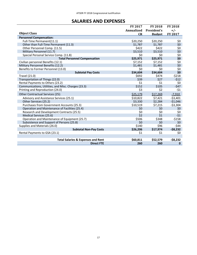## **SALARIES AND EXPENSES**

<span id="page-16-0"></span>

|                                                     | <b>FY 2017</b> | <b>FY 2018</b> | <b>FY 2018</b> |
|-----------------------------------------------------|----------------|----------------|----------------|
|                                                     | Annualized     | President's    | +/-            |
| <b>Object Class</b>                                 | CR             | <b>Budget</b>  | <b>FY 2017</b> |
| <b>Personnel Compensation:</b>                      |                |                |                |
| Full-Time Permanent(11.1)                           | \$20,250       | \$20,250       | \$0            |
| Other than Full-Time Permanent (11.3)               | \$1,787        | \$1,787        | \$0            |
| Other Personnel Comp. (11.5)                        | \$422          | \$422          | \$0            |
| Military Personnel (11.7)                           | \$3,510        | \$3,510        | \$0            |
| Special Personal Service Comp. (11.8)               | \$0            | \$0            | \$0            |
| <b>Total Personnel Compensation</b>                 | \$25,971       | \$25,971       | \$0            |
| Civilian personnel Benefits (12.1)                  | \$7,152        | \$7,152        | \$0            |
| Military Personnel Benefits (12.2)                  | \$1,481        | \$1,481        | \$0\$          |
| Benefits to Former Personnel (13.0)                 | \$0            | \$0            | \$0            |
| <b>Subtotal Pay Costs</b>                           | \$34,604       | \$34,604       | \$0            |
| <b>Travel (21.0)</b>                                | \$692          | \$474          | $-5218$        |
| Transportation of Things (22.0)                     | \$39           | \$27           | $-512$         |
| Rental Payments to Others (23.2)                    | \$1            | \$1            | \$0            |
| Communications, Utilities, and Misc. Charges (23.3) | \$152          | \$105          | $-547$         |
| Printing and Reproduction (24.0)                    | \$3            | \$2            | $-51$          |
| Other Contractual Services (25):                    | \$25,179       | \$17,269       | $-7,910$       |
| Advisory and Assistance Services (25.1)             | \$10,822       | \$7,421        | $-53,401$      |
| Other Services (25.2)                               | \$3,330        | \$2,284        | $-51,046$      |
| Purchases from Government Accounts (25.3)           | \$10,519       | \$7,215        | $-53,304$      |
| Operation and Maintenance of Facilities (25.4)      | \$0            | \$0            | \$0            |
| Research and Development Contracts (25.5)           | \$0            | \$0            | \$0            |
| Medical Services (25.6)                             | \$2            | \$1            | $-51$          |
| Operation and Maintenance of Equipment (25.7)       | \$506          | \$348          | $-5158$        |
| Subsistence and Support of Persons (25.8)           | \$0            | \$0            | \$0            |
| Supplies and Materials (26.0)                       | \$140          | \$96           | $-544$         |
| <b>Subtotal Non-Pay Costs</b>                       | \$26,206       | \$17,974       | $-58,232$      |
| Rental Payments to GSA (23.1)                       | \$1            | \$1            | \$0            |
|                                                     |                |                |                |
| <b>Total Salaries &amp; Expenses and Rent</b>       | \$60,811       | \$52,579       | $-58,232$      |
| <b>Direct FTE</b>                                   | 260            | 260            | 0              |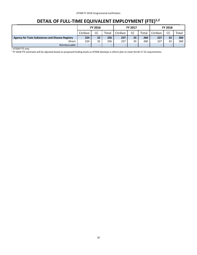# **DETAIL OF FULL-TIME EQUIVALENT EMPLOYMENT (FTE)1,2**

<span id="page-17-0"></span>

|                                                         |          | <b>FY 2016</b> |       |          | <b>FY 2017</b> |       | FY 2018  |        |                          |  |  |  |
|---------------------------------------------------------|----------|----------------|-------|----------|----------------|-------|----------|--------|--------------------------|--|--|--|
|                                                         | Civilian | CC             | Total | Civilian | CC             | Total | Civilian | CC     | Total                    |  |  |  |
| <b>Agency for Toxic Substances and Disease Registry</b> | 224      | 32             | 256   | 227      | 33             | 260   | 227      | 33     | 260                      |  |  |  |
| Direct                                                  | 224      | 32             | 256   | 227      | 33             | 260   | 227      | 33     | 260                      |  |  |  |
| Reimbursable                                            | -        | -              | -     | -        |                |       | ۰        | $\sim$ | $\overline{\phantom{0}}$ |  |  |  |

 1 ATSDR FTE only.2 FY 2018 FTE estimates will be adjusted based on proposed funding levels as ATSDR develops a reform plan to meet the M-17-22 requirements.18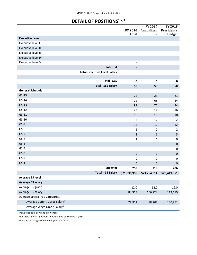# **DETAIL OF POSITIONS1,2,3**

<span id="page-18-0"></span>

|                                         |                                     |                              | <b>FY 2017</b>           | <b>FY 2018</b>                   |  |
|-----------------------------------------|-------------------------------------|------------------------------|--------------------------|----------------------------------|--|
|                                         |                                     | FY 2016<br><b>Final</b>      | Annualized<br>CR         | President's<br><b>Budget</b>     |  |
| <b>Executive Level</b>                  |                                     |                              |                          |                                  |  |
| Executive level I                       |                                     | $\qquad \qquad \blacksquare$ | $\overline{\phantom{a}}$ |                                  |  |
| <b>Executive level II</b>               |                                     | $\overline{\phantom{a}}$     | $\overline{\phantom{a}}$ |                                  |  |
| <b>Executive level III</b>              |                                     | $\overline{\phantom{a}}$     | $\overline{\phantom{a}}$ |                                  |  |
| <b>Executive level IV</b>               |                                     | $\overline{\phantom{a}}$     | $\overline{\phantom{a}}$ |                                  |  |
| Executive level V                       |                                     | $\frac{1}{2}$                | $\overline{\phantom{a}}$ |                                  |  |
|                                         | Subtotal                            | $\overline{\phantom{a}}$     | $\overline{\phantom{a}}$ |                                  |  |
|                                         | <b>Total-Executive Level Salary</b> | $\overline{\phantom{a}}$     | $\qquad \qquad -$        |                                  |  |
|                                         |                                     |                              |                          |                                  |  |
|                                         | <b>Total - SES</b>                  | $\pmb{0}$                    | $\pmb{0}$                | $\mathbf 0$                      |  |
|                                         | <b>Total - SES Salary</b>           | \$0                          | \$0                      | \$0                              |  |
| <b>General Schedule</b>                 |                                     |                              |                          |                                  |  |
| $GS-15$                                 |                                     | 22                           | 23                       | 21                               |  |
| $GS-14$                                 |                                     | 72                           | 68                       | 64                               |  |
| $GS-13$                                 |                                     | 93                           | 77                       | 74                               |  |
| $GS-12$                                 |                                     | 23                           | 17                       | 16                               |  |
| $GS-11$<br>$GS-10$                      |                                     | 16                           | 11                       | 10                               |  |
| $GS-9$                                  |                                     | $\overline{2}$               | $\overline{2}$           | $\overline{2}$                   |  |
| $GS-8$                                  |                                     | 14                           | 12<br>$\overline{2}$     | 12                               |  |
| $GS-7$                                  |                                     | $\overline{2}$<br>$\bf 8$    | $\boldsymbol{6}$         | $\overline{2}$<br>$\overline{5}$ |  |
| $GS-6$                                  |                                     | 1                            | $\mathbf{1}$             | 0                                |  |
| $GS-5$                                  |                                     | $\boldsymbol{6}$             | $\pmb{0}$                | $\pmb{0}$                        |  |
| $GS-4$                                  |                                     | 0                            | 0                        | 0                                |  |
| $GS-3$                                  |                                     | $\pmb{0}$                    | $\pmb{0}$                | $\pmb{0}$                        |  |
| $GS-2$                                  |                                     | $\pmb{0}$                    | $\pmb{0}$                | $\boldsymbol{0}$                 |  |
| $GS-1$                                  |                                     | $\mathbf 0$                  | $\pmb{0}$                | $\pmb{0}$                        |  |
|                                         | Subtotal                            | 259                          | 219                      | 206                              |  |
|                                         | <b>Total - GS Salary</b>            | \$21,836,955                 | \$23,264,014             | \$23,419,951                     |  |
| <b>Average ES level</b>                 |                                     |                              |                          |                                  |  |
| <b>Average ES salary</b>                |                                     |                              |                          |                                  |  |
| Average GS grade                        |                                     | 12.0                         | 12.0                     | 12.0                             |  |
| Average GS salary                       |                                     | 84,313                       | 106,228                  | 113,689                          |  |
| <b>Average Special Pay Categories</b>   |                                     |                              |                          |                                  |  |
| Average Comm. Corps Salary <sup>2</sup> |                                     | 79,952                       | 88,702                   | 100,951                          |  |
| Average Wage Grade Salary <sup>3</sup>  |                                     |                              |                          |                                  |  |

 $<sup>1</sup>$  Includes special pays and allowances.</sup>

 $^2$  This table reflects "positions" not full-time equivalent(s) (FTEs)

 $3$  There are no Wage Grade employees in ATSDR